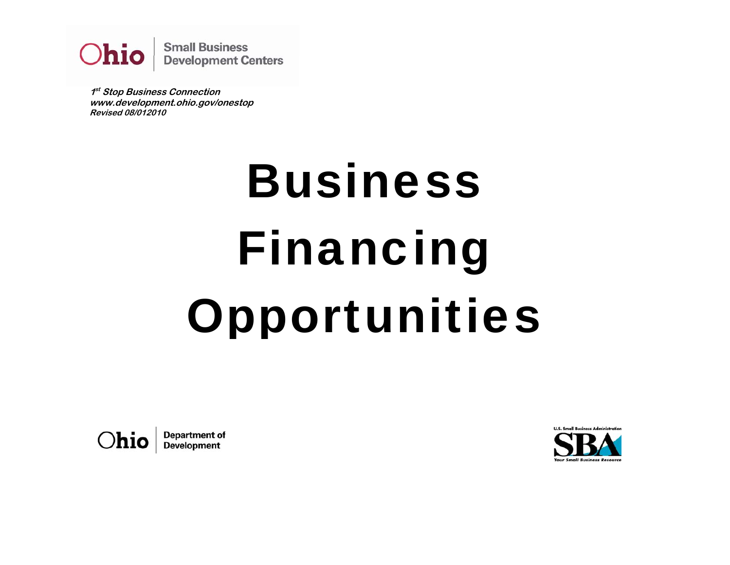

**1st Stop Business Connection www.development.ohio.gov/onestop Revised 08/012010** 

# Business Financing Opportunities

**Department of** Ohio **Development** 

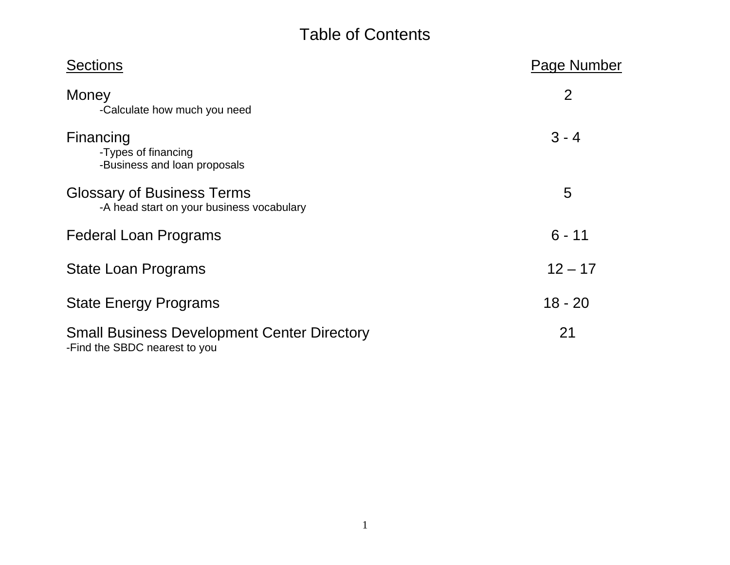# Table of Contents

| <b>Sections</b>                                                                     | Page Number    |
|-------------------------------------------------------------------------------------|----------------|
| Money<br>-Calculate how much you need                                               | $\overline{2}$ |
| Financing<br>-Types of financing<br>-Business and loan proposals                    | $3 - 4$        |
| <b>Glossary of Business Terms</b><br>-A head start on your business vocabulary      | 5              |
| <b>Federal Loan Programs</b>                                                        | $6 - 11$       |
| State Loan Programs                                                                 | $12 - 17$      |
| <b>State Energy Programs</b>                                                        | $18 - 20$      |
| <b>Small Business Development Center Directory</b><br>-Find the SBDC nearest to you | 21             |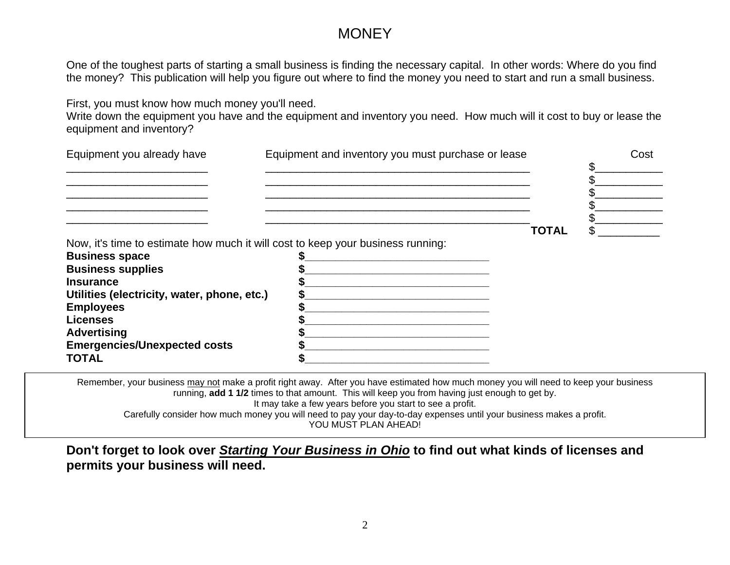# **MONEY**

One of the toughest parts of starting a small business is finding the necessary capital. In other words: Where do you find the money? This publication will help you figure out where to find the money you need to start and run a small business.

First, you must know how much money you'll need.

Write down the equipment you have and the equipment and inventory you need. How much will it cost to buy or lease the equipment and inventory?

| Equipment you already have                                                                                                                                                                                                                     | Equipment and inventory you must purchase or lease                                                                                                                                                                                                                                                                                                                       |              | Cost |
|------------------------------------------------------------------------------------------------------------------------------------------------------------------------------------------------------------------------------------------------|--------------------------------------------------------------------------------------------------------------------------------------------------------------------------------------------------------------------------------------------------------------------------------------------------------------------------------------------------------------------------|--------------|------|
|                                                                                                                                                                                                                                                |                                                                                                                                                                                                                                                                                                                                                                          |              |      |
|                                                                                                                                                                                                                                                |                                                                                                                                                                                                                                                                                                                                                                          | <b>TOTAL</b> |      |
| Now, it's time to estimate how much it will cost to keep your business running:<br><b>Business space</b><br><b>Business supplies</b><br><b>Insurance</b><br>Utilities (electricity, water, phone, etc.)<br><b>Employees</b><br><b>Licenses</b> |                                                                                                                                                                                                                                                                                                                                                                          |              |      |
| <b>Advertising</b><br><b>Emergencies/Unexpected costs</b><br><b>TOTAL</b>                                                                                                                                                                      |                                                                                                                                                                                                                                                                                                                                                                          |              |      |
|                                                                                                                                                                                                                                                | Remember, your business may not make a profit right away. After you have estimated how much money you will need to keep your business<br>$\sim$ 100 to 100 to 100 million and the compact of the contract of the contract of the contract of the contract of the contract of the contract of the contract of the contract of the contract of the contract of the contrac |              |      |

running, **add 1 1/2** times to that amount. This will keep you from having just enough to get by. It may take a few years before you start to see a profit. Carefully consider how much money you will need to pay your day-to-day expenses until your business makes a profit. YOU MUST PLAN AHEAD!

**Don't forget to look over** *Starting Your Business in Ohio* **to find out what kinds of licenses and permits your business will need.**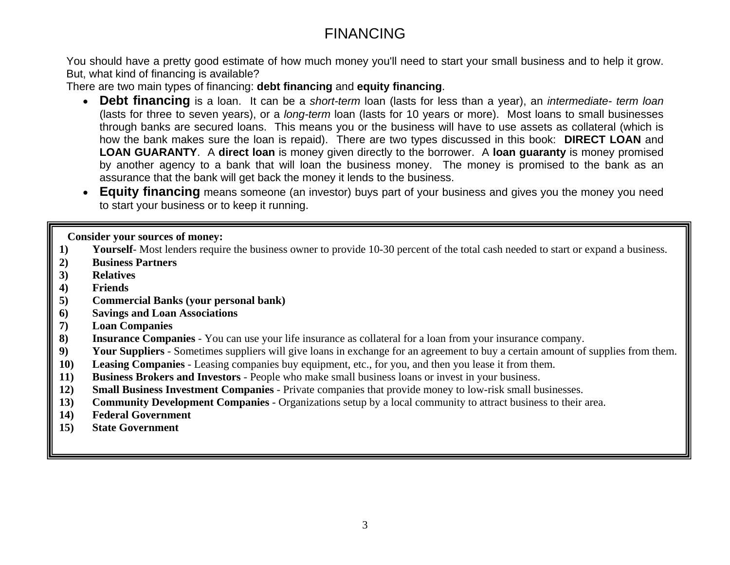# FINANCING

You should have a pretty good estimate of how much money you'll need to start your small business and to help it grow. But, what kind of financing is available?

There are two main types of financing: **debt financing** and **equity financing**.

- **Debt financing** is a loan. It can be a *short-term* loan (lasts for less than a year), an *intermediate- term loan* (lasts for three to seven years), or a *long-term* loan (lasts for 10 years or more). Most loans to small businesses through banks are secured loans. This means you or the business will have to use assets as collateral (which is how the bank makes sure the loan is repaid). There are two types discussed in this book: **DIRECT LOAN** and **LOAN GUARANTY**. A **direct loan** is money given directly to the borrower. A **loan guaranty** is money promised by another agency to a bank that will loan the business money. The money is promised to the bank as an assurance that the bank will get back the money it lends to the business.
- **Equity financing** means someone (an investor) buys part of your business and gives you the money you need to start your business or to keep it running.

 **Consider your sources of money:** 

- **1) Yourself** Most lenders require the business owner to provide 10-30 percent of the total cash needed to start or expand a business.
- **2) Business Partners**
- **3) Relatives**
- **4) Friends**
- **5) Commercial Banks (your personal bank)**
- **6) Savings and Loan Associations**
- **7) Loan Companies**
- **8) Insurance Companies** You can use your life insurance as collateral for a loan from your insurance company.<br>**9) Your Suppliers** Sometimes suppliers will give loans in exchange for an agreement to buy a certain amoun
- **9) Your Suppliers** Sometimes suppliers will give loans in exchange for an agreement to buy a certain amount of supplies from them.
- **10) Leasing Companies** Leasing companies buy equipment, etc., for you, and then you lease it from them.
- **11) Business Brokers and Investors** People who make small business loans or invest in your business.
- **12) Small Business Investment Companies** Private companies that provide money to low-risk small businesses.
- **13) Community Development Companies** Organizations setup by a local community to attract business to their area.
- **14) Federal Government**
- **15) State Government**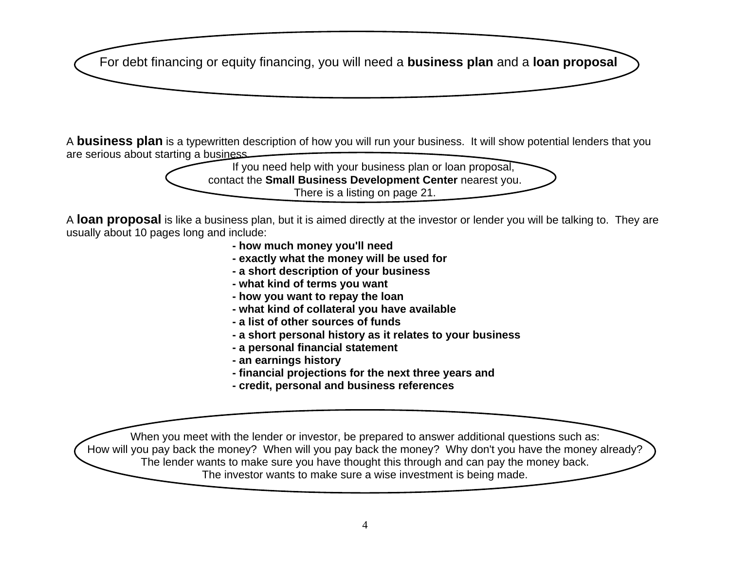For debt financing or equity financing, you will need a **business plan** and a **loan proposal**

<sup>A</sup>**business plan** is a typewritten description of how you will run your business. It will show potential lenders that you are serious about starting a business.

If you need help with your business plan or loan proposal, contact the **Small Business Development Center** nearest you. There is a listing on page 21.

<sup>A</sup>**loan proposal** is like a business plan, but it is aimed directly at the investor or lender you will be talking to. They are usually about 10 pages long and include:

- **how much money you'll need**
- **exactly what the money will be used for**
- **a short description of your business**
- **what kind of terms you want**
- **how you want to repay the loan**
- **what kind of collateral you have available**
- **a list of other sources of funds**
- **a short personal history as it relates to your business**
- **a personal financial statement**
- **an earnings history**
- **financial projections for the next three years and**
- **credit, personal and business references**

When you meet with the lender or investor, be prepared to answer additional questions such as: How will you pay back the money? When will you pay back the money? Why don't you have the money already? The lender wants to make sure you have thought this through and can pay the money back. The investor wants to make sure a wise investment is being made.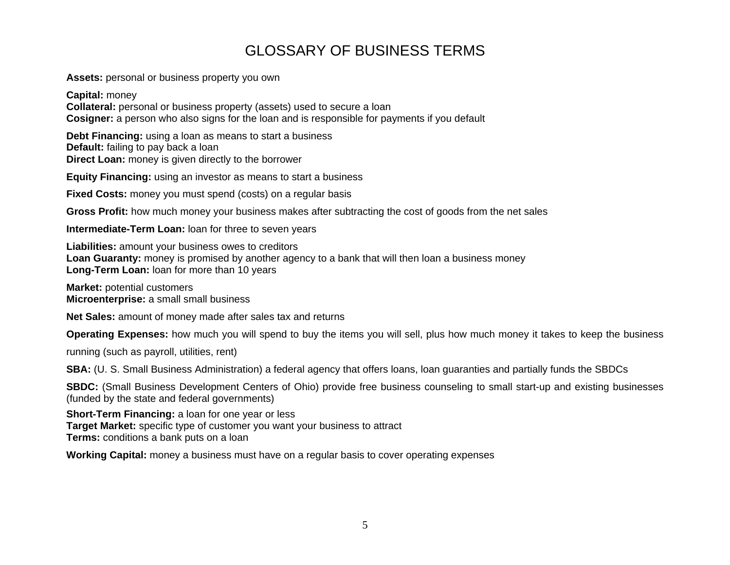# GLOSSARY OF BUSINESS TERMS

**Assets:** personal or business property you own

**Capital:** money **Collateral:** personal or business property (assets) used to secure a loan **Cosigner:** a person who also signs for the loan and is responsible for payments if you default

**Debt Financing:** using a loan as means to start a business **Default:** failing to pay back a loan **Direct Loan:** money is given directly to the borrower

**Equity Financing:** using an investor as means to start a business

**Fixed Costs:** money you must spend (costs) on a regular basis

**Gross Profit:** how much money your business makes after subtracting the cost of goods from the net sales

**Intermediate-Term Loan:** loan for three to seven years

**Liabilities:** amount your business owes to creditors **Loan Guaranty:** money is promised by another agency to a bank that will then loan a business money **Long-Term Loan:** loan for more than 10 years

**Market:** potential customers **Microenterprise:** a small small business

**Net Sales:** amount of money made after sales tax and returns

**Operating Expenses:** how much you will spend to buy the items you will sell, plus how much money it takes to keep the business

running (such as payroll, utilities, rent)

**SBA:** (U. S. Small Business Administration) a federal agency that offers loans, loan guaranties and partially funds the SBDCs

**SBDC:** (Small Business Development Centers of Ohio) provide free business counseling to small start-up and existing businesses (funded by the state and federal governments)

**Short-Term Financing:** a loan for one year or less **Target Market:** specific type of customer you want your business to attract **Terms:** conditions a bank puts on a loan

**Working Capital:** money a business must have on a regular basis to cover operating expenses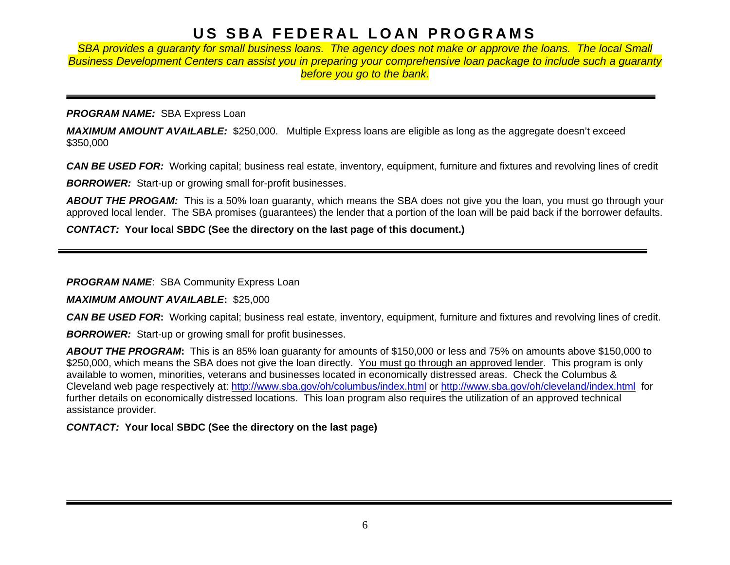# **US SBA FEDERAL LOAN PROGRAMS**

**SBA provides a quaranty for small business loans. The agency does not make or approve the loans. The local Small** *Business Development Centers can assist you in preparing your comprehensive loan package to include such a guaranty before you go to the bank.* 

#### **PROGRAM NAME: SBA Express Loan**

*MAXIMUM AMOUNT AVAILABLE:* \$250,000. Multiple Express loans are eligible as long as the aggregate doesn't exceed \$350,000

*CAN BE USED FOR:* Working capital; business real estate, inventory, equipment, furniture and fixtures and revolving lines of credit

**BORROWER:** Start-up or growing small for-profit businesses.

*ABOUT THE PROGAM:* This is a 50% loan guaranty, which means the SBA does not give you the loan, you must go through your approved local lender. The SBA promises (guarantees) the lender that a portion of the loan will be paid back if the borrower defaults.

*CONTACT:* **Your local SBDC (See the directory on the last page of this document.)**

**PROGRAM NAME:** SBA Community Express Loan

## *MAXIMUM AMOUNT AVAILABLE***:** \$25,000

*CAN BE USED FOR***:** Working capital; business real estate, inventory, equipment, furniture and fixtures and revolving lines of credit.

*BORROWER:* Start-up or growing small for profit businesses.

*ABOUT THE PROGRAM***:** This is an 85% loan guaranty for amounts of \$150,000 or less and 75% on amounts above \$150,000 to \$250,000, which means the SBA does not give the loan directly. You must go through an approved lender. This program is only available to women, minorities, veterans and businesses located in economically distressed areas. Check the Columbus & Cleveland web page respectively at:<http://www.sba.gov/oh/columbus/index.html>or <http://www.sba.gov/oh/cleveland/index.html> for further details on economically distressed locations. This loan program also requires the utilization of an approved technical assistance provider.

# *CONTACT:* **Your local SBDC (See the directory on the last page)**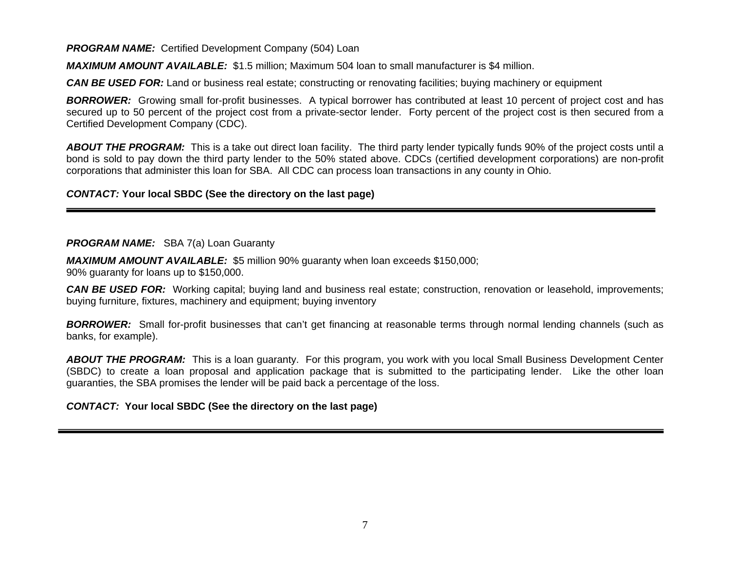**PROGRAM NAME:** Certified Development Company (504) Loan

*MAXIMUM AMOUNT AVAILABLE:* \$1.5 million; Maximum 504 loan to small manufacturer is \$4 million.

*CAN BE USED FOR:* Land or business real estate; constructing or renovating facilities; buying machinery or equipment

*BORROWER:* Growing small for-profit businesses. A typical borrower has contributed at least 10 percent of project cost and has secured up to 50 percent of the project cost from a private-sector lender. Forty percent of the project cost is then secured from a Certified Development Company (CDC).

*ABOUT THE PROGRAM:* This is a take out direct loan facility. The third party lender typically funds 90% of the project costs until a bond is sold to pay down the third party lender to the 50% stated above. CDCs (certified development corporations) are non-profit corporations that administer this loan for SBA. All CDC can process loan transactions in any county in Ohio.

*CONTACT:* **Your local SBDC (See the directory on the last page)**

#### **PROGRAM NAME:** SBA 7(a) Loan Guaranty

*MAXIMUM AMOUNT AVAILABLE:* \$5 million 90% guaranty when loan exceeds \$150,000;

90% guaranty for loans up to \$150,000.

*CAN BE USED FOR:* Working capital; buying land and business real estate; construction, renovation or leasehold, improvements; buying furniture, fixtures, machinery and equipment; buying inventory

*BORROWER:* Small for-profit businesses that can't get financing at reasonable terms through normal lending channels (such as banks, for example).

*ABOUT THE PROGRAM:* This is a loan guaranty. For this program, you work with you local Small Business Development Center (SBDC) to create a loan proposal and application package that is submitted to the participating lender. Like the other loan guaranties, the SBA promises the lender will be paid back a percentage of the loss.

#### *CONTACT:* **Your local SBDC (See the directory on the last page)**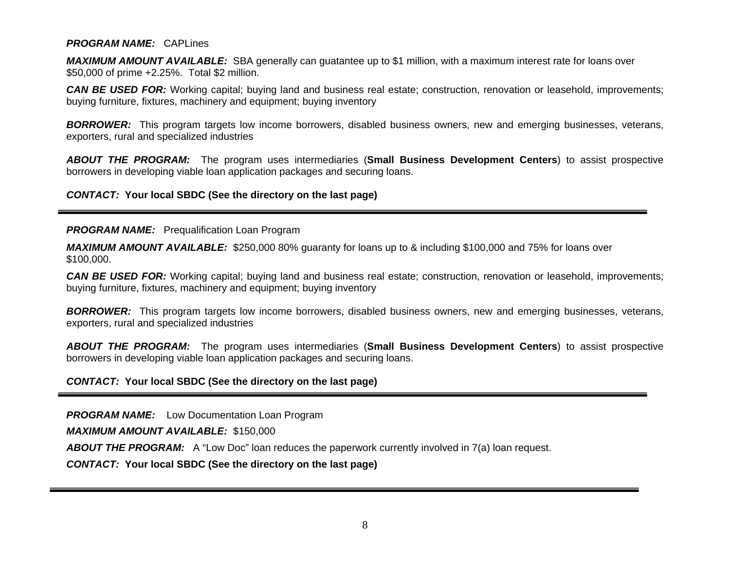#### *PROGRAM NAME:* CAPLines

*MAXIMUM AMOUNT AVAILABLE:* SBA generally can guatantee up to \$1 million, with a maximum interest rate for loans over \$50,000 of prime +2.25%. Total \$2 million.

*CAN BE USED FOR:* Working capital; buying land and business real estate; construction, renovation or leasehold, improvements; buying furniture, fixtures, machinery and equipment; buying inventory

*BORROWER:* This program targets low income borrowers, disabled business owners, new and emerging businesses, veterans, exporters, rural and specialized industries

*ABOUT THE PROGRAM:* The program uses intermediaries (**Small Business Development Centers**) to assist prospective borrowers in developing viable loan application packages and securing loans.

*CONTACT:* **Your local SBDC (See the directory on the last page)** 

#### **PROGRAM NAME:** Prequalification Loan Program

*MAXIMUM AMOUNT AVAILABLE:* \$250,000 80% guaranty for loans up to & including \$100,000 and 75% for loans over \$100,000.

*CAN BE USED FOR:* Working capital; buying land and business real estate; construction, renovation or leasehold, improvements; buying furniture, fixtures, machinery and equipment; buying inventory

*BORROWER:* This program targets low income borrowers, disabled business owners, new and emerging businesses, veterans, exporters, rural and specialized industries

*ABOUT THE PROGRAM:* The program uses intermediaries (**Small Business Development Centers**) to assist prospective borrowers in developing viable loan application packages and securing loans.

#### *CONTACT:* **Your local SBDC (See the directory on the last page)**

*PROGRAM NAME:* Low Documentation Loan Program

*MAXIMUM AMOUNT AVAILABLE:* \$150,000

**ABOUT THE PROGRAM:** A "Low Doc" loan reduces the paperwork currently involved in 7(a) loan request.

*CONTACT:* **Your local SBDC (See the directory on the last page)**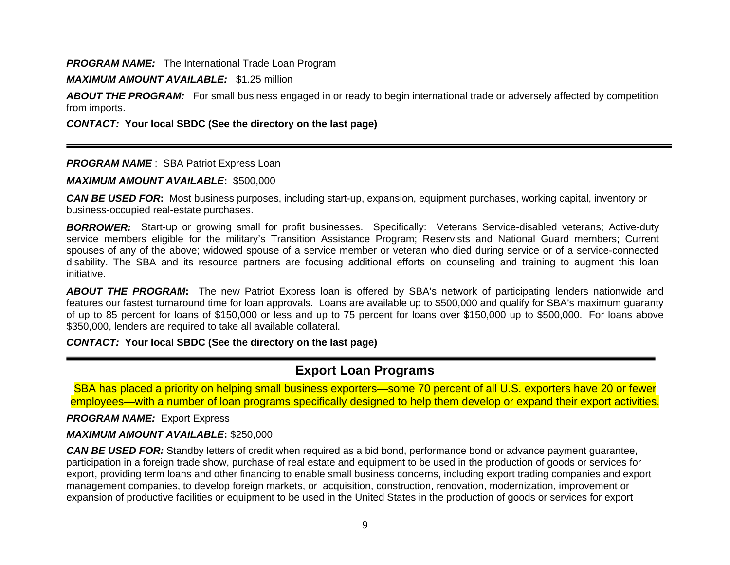#### **PROGRAM NAME:** The International Trade Loan Program

#### *MAXIMUM AMOUNT AVAILABLE:* \$1.25 million

ABOUT THE PROGRAM: For small business engaged in or ready to begin international trade or adversely affected by competition from imports.

#### *CONTACT:* **Your local SBDC (See the directory on the last page)**

#### **PROGRAM NAME** : SBA Patriot Express Loan

#### *MAXIMUM AMOUNT AVAILABLE***:** \$500,000

*CAN BE USED FOR***:** Most business purposes, including start-up, expansion, equipment purchases, working capital, inventory or business-occupied real-estate purchases.

*BORROWER:* Start-up or growing small for profit businesses. Specifically: Veterans Service-disabled veterans; Active-duty service members eligible for the military's Transition Assistance Program; Reservists and National Guard members; Current spouses of any of the above; widowed spouse of a service member or veteran who died during service or of a service-connected disability. The SBA and its resource partners are focusing additional efforts on counseling and training to augment this loan initiative.

*ABOUT THE PROGRAM***:** The new Patriot Express loan is offered by SBA's network of participating lenders nationwide and features our fastest turnaround time for loan approvals. Loans are available up to \$500,000 and qualify for SBA's maximum guaranty of up to 85 percent for loans of \$150,000 or less and up to 75 percent for loans over \$150,000 up to \$500,000. For loans above \$350,000, lenders are required to take all available collateral.

#### *CONTACT:* **Your local SBDC (See the directory on the last page)**

# **Export Loan Programs**

SBA has placed a priority on helping small business exporters—some 70 percent of all U.S. exporters have 20 or fewer employees—with a number of loan programs specifically designed to help them develop or expand their export activities.

#### *PROGRAM NAME:* Export Express

#### *MAXIMUM AMOUNT AVAILABLE***:** \$250,000

*CAN BE USED FOR:* Standby letters of credit when required as a bid bond, performance bond or advance payment guarantee, participation in a foreign trade show, purchase of real estate and equipment to be used in the production of goods or services for export, providing term loans and other financing to enable small business concerns, including export trading companies and export management companies, to develop foreign markets, or acquisition, construction, renovation, modernization, improvement or expansion of productive facilities or equipment to be used in the United States in the production of goods or services for export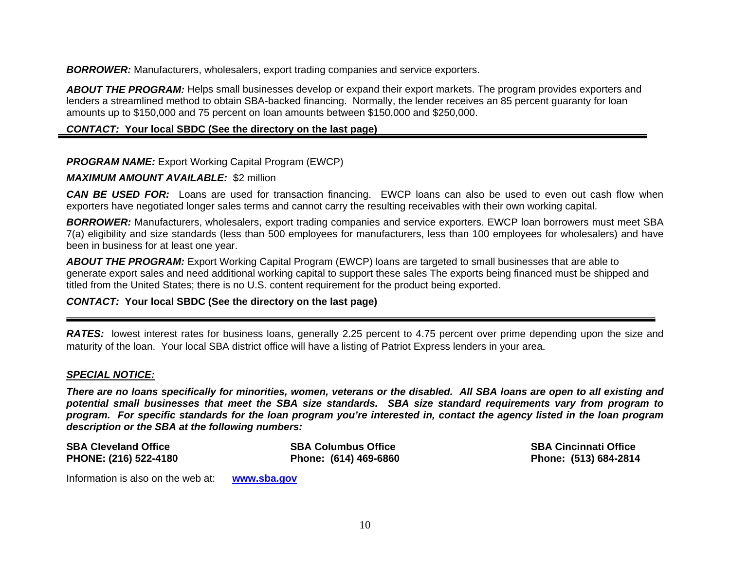*BORROWER:* Manufacturers, wholesalers, export trading companies and service exporters.

*ABOUT THE PROGRAM:* Helps small businesses develop or expand their export markets. The program provides exporters and lenders a streamlined method to obtain SBA-backed financing. Normally, the lender receives an 85 percent guaranty for loan amounts up to \$150,000 and 75 percent on loan amounts between \$150,000 and \$250,000.

# *CONTACT:* **Your local SBDC (See the directory on the last page)**

# *PROGRAM NAME:* Export Working Capital Program (EWCP)

#### *MAXIMUM AMOUNT AVAILABLE:* \$2 million

*CAN BE USED FOR:* Loans are used for transaction financing. EWCP loans can also be used to even out cash flow when exporters have negotiated longer sales terms and cannot carry the resulting receivables with their own working capital.

*BORROWER:* Manufacturers, wholesalers, export trading companies and service exporters. EWCP loan borrowers must meet SBA 7(a) eligibility and size standards (less than 500 employees for manufacturers, less than 100 employees for wholesalers) and have been in business for at least one year.

*ABOUT THE PROGRAM:* Export Working Capital Program (EWCP) loans are targeted to small businesses that are able to generate export sales and need additional working capital to support these sales The exports being financed must be shipped and titled from the United States; there is no U.S. content requirement for the product being exported.

## *CONTACT:* **Your local SBDC (See the directory on the last page)**

*RATES:* lowest interest rates for business loans, generally 2.25 percent to 4.75 percent over prime depending upon the size and maturity of the loan. Your local SBA district office will have a listing of Patriot Express lenders in your area.

#### *SPECIAL NOTICE:*

*There are no loans specifically for minorities, women, veterans or the disabled. All SBA loans are open to all existing and potential small businesses that meet the SBA size standards. SBA size standard requirements vary from program to program. For specific standards for the loan program you're interested in, contact the agency listed in the loan program description or the SBA at the following numbers:* 

**SBA Cleveland Office SBA Columbus Office SBA Cincinnati Office PHONE: (216) 522-4180 Phone: (614) 469-6860 Phone: (513) 684-2814** 

Information is also on the web at: **[www.sba.gov](http://www.sba.gov/)**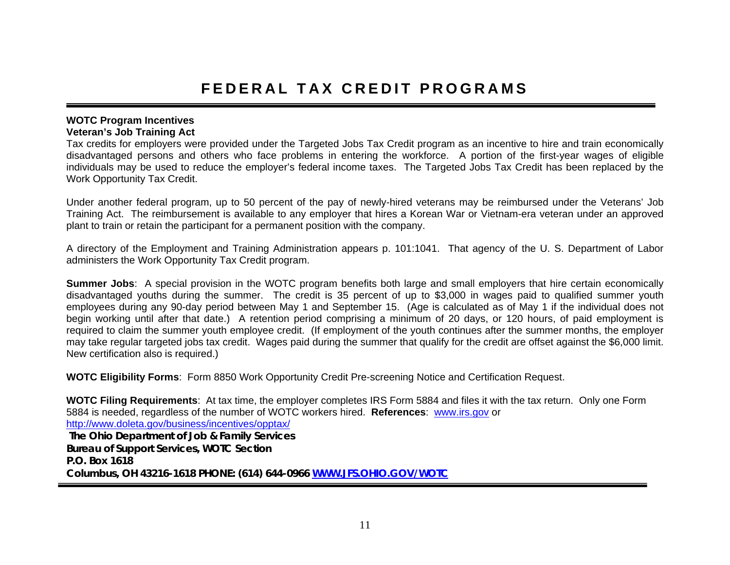#### **WOTC Program Incentives Veteran's Job Training Act**

Tax credits for employers were provided under the Targeted Jobs Tax Credit program as an incentive to hire and train economically disadvantaged persons and others who face problems in entering the workforce. A portion of the first-year wages of eligible individuals may be used to reduce the employer's federal income taxes. The Targeted Jobs Tax Credit has been replaced by the Work Opportunity Tax Credit.

Under another federal program, up to 50 percent of the pay of newly-hired veterans may be reimbursed under the Veterans' Job Training Act. The reimbursement is available to any employer that hires a Korean War or Vietnam-era veteran under an approved plant to train or retain the participant for a permanent position with the company.

A directory of the Employment and Training Administration appears p. 101:1041. That agency of the U. S. Department of Labor administers the Work Opportunity Tax Credit program.

**Summer Jobs**: A special provision in the WOTC program benefits both large and small employers that hire certain economically disadvantaged youths during the summer. The credit is 35 percent of up to \$3,000 in wages paid to qualified summer youth employees during any 90-day period between May 1 and September 15. (Age is calculated as of May 1 if the individual does not begin working until after that date.) A retention period comprising a minimum of 20 days, or 120 hours, of paid employment is required to claim the summer youth employee credit. (If employment of the youth continues after the summer months, the employer may take regular targeted jobs tax credit. Wages paid during the summer that qualify for the credit are offset against the \$6,000 limit. New certification also is required.)

**WOTC Eligibility Forms**: Form 8850 Work Opportunity Credit Pre-screening Notice and Certification Request.

**WOTC Filing Requirements**: At tax time, the employer completes IRS Form 5884 and files it with the tax return. Only one Form 5884 is needed, regardless of the number of WOTC workers hired. **References**: [www.irs.gov](http://www.irs.gov/) or <http://www.doleta.gov/business/incentives/opptax/> **The Ohio Department of Job & Family Services Bureau of Support Services, WOTC Section P.O. Box 1618 Columbus, OH 43216-1618 PHONE: (614) 644-096[6](http://www.jfs.ohio.gov/WOTC) [WWW.JFS.OHIO.GOV/WOTC](http://www.jfs.ohio.gov/WOTC)**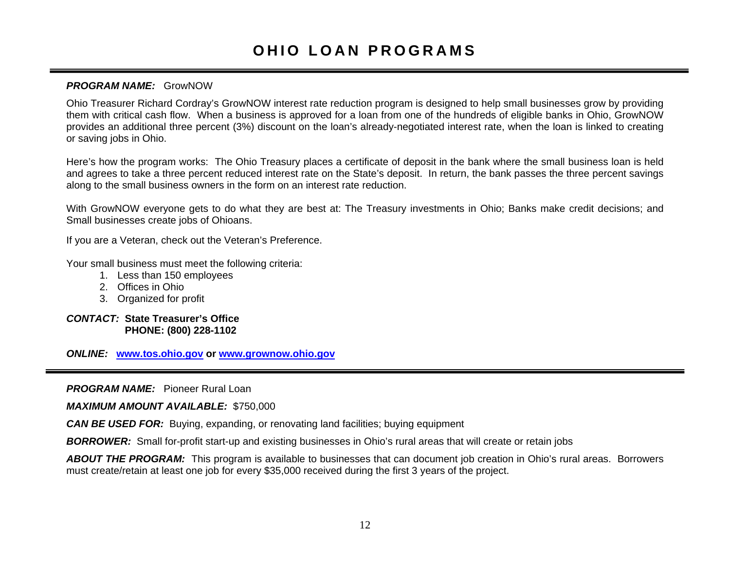# **OHIO LOAN PROGRAMS**

## *PROGRAM NAME:* GrowNOW

Ohio Treasurer Richard Cordray's GrowNOW interest rate reduction program is designed to help small businesses grow by providing them with critical cash flow. When a business is approved for a loan from one of the hundreds of eligible banks in Ohio, GrowNOW provides an additional three percent (3%) discount on the loan's already-negotiated interest rate, when the loan is linked to creating or saving jobs in Ohio.

Here's how the program works: The Ohio Treasury places a certificate of deposit in the bank where the small business loan is held and agrees to take a three percent reduced interest rate on the State's deposit. In return, the bank passes the three percent savings along to the small business owners in the form on an interest rate reduction.

With GrowNOW everyone gets to do what they are best at: The Treasury investments in Ohio; Banks make credit decisions; and Small businesses create jobs of Ohioans.

If you are a Veteran, check out the Veteran's Preference.

Your small business must meet the following criteria:

- 1. Less than 150 employees
- 2. Offices in Ohio
- 3. Organized for profit

#### *CONTACT:* **State Treasurer's Office PHONE: (800) 228-1102**

*ONLINE:* **[www.tos.ohio.gov](http://www.tos.ohio.gov/) or [www.grownow.ohio.gov](http://www.grownow.ohio.gov/)**

*PROGRAM NAME:* Pioneer Rural Loan

*MAXIMUM AMOUNT AVAILABLE:* \$750,000

*CAN BE USED FOR:* Buying, expanding, or renovating land facilities; buying equipment

*BORROWER:* Small for-profit start-up and existing businesses in Ohio's rural areas that will create or retain jobs

*ABOUT THE PROGRAM:* This program is available to businesses that can document job creation in Ohio's rural areas. Borrowers must create/retain at least one job for every \$35,000 received during the first 3 years of the project.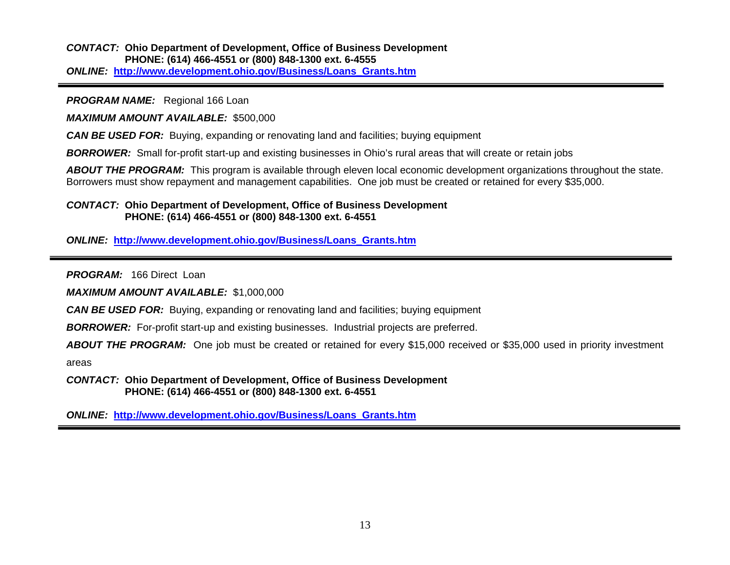*CONTACT:* **Ohio Department of Development, Office of Business Development PHONE: (614) 466-4551 or (800) 848-1300 ext. 6-4555** *ONLINE:* **[http://www.development.ohio.gov/Business/Loans\\_Grants.htm](http://www.development.ohio.gov/Business/Loans_Grants.htm)**

*PROGRAM NAME:* Regional 166 Loan

*MAXIMUM AMOUNT AVAILABLE:* \$500,000

*CAN BE USED FOR:* Buying, expanding or renovating land and facilities; buying equipment

*BORROWER:* Small for-profit start-up and existing businesses in Ohio's rural areas that will create or retain jobs

ABOUT THE PROGRAM: This program is available through eleven local economic development organizations throughout the state. Borrowers must show repayment and management capabilities. One job must be created or retained for every \$35,000.

#### *CONTACT:* **Ohio Department of Development, Office of Business Development PHONE: (614) 466-4551 or (800) 848-1300 ext. 6-4551**

*ONLINE:* **[http://www.development.ohio.gov/Business/Loans\\_Grants.htm](http://www.development.ohio.gov/Business/Loans_Grants.htm)**

*PROGRAM:* 166 Direct Loan

*MAXIMUM AMOUNT AVAILABLE:* \$1,000,000

*CAN BE USED FOR:* Buying, expanding or renovating land and facilities; buying equipment

*BORROWER:* For-profit start-up and existing businesses. Industrial projects are preferred.

*ABOUT THE PROGRAM:* One job must be created or retained for every \$15,000 received or \$35,000 used in priority investment

areas

*CONTACT:* **Ohio Department of Development, Office of Business Development PHONE: (614) 466-4551 or (800) 848-1300 ext. 6-4551**

*ONLINE:* **[http://www.development.ohio.gov/Business/Loans\\_Grants.htm](http://www.development.ohio.gov/Business/Loans_Grants.htm)**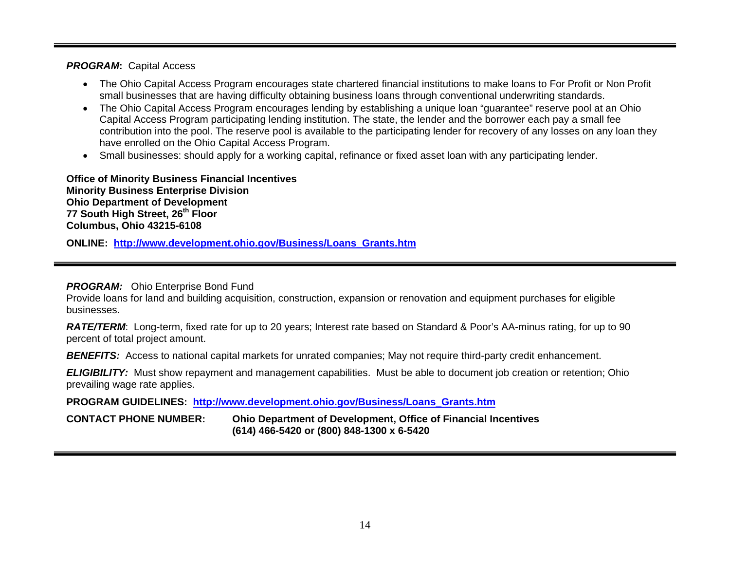#### *PROGRAM***:** Capital Access

- The Ohio Capital Access Program encourages state chartered financial institutions to make loans to For Profit or Non Profit small businesses that are having difficulty obtaining business loans through conventional underwriting standards.
- The Ohio Capital Access Program encourages lending by establishing a unique loan "guarantee" reserve pool at an Ohio Capital Access Program participating lending institution. The state, the lender and the borrower each pay a small fee contribution into the pool. The reserve pool is available to the participating lender for recovery of any losses on any loan they have enrolled on the Ohio Capital Access Program.
- Small businesses: should apply for a working capital, refinance or fixed asset loan with any participating lender.

**Office of Minority Business Financial Incentives Minority Business Enterprise Division Ohio Department of Development 77 South High Street, 26th Floor Columbus, Ohio 43215-6108** 

**ONLINE: [http://www.development.ohio.gov/Business/Loans\\_Grants.htm](http://www.development.ohio.gov/Business/Loans_Grants.htm)**

#### **PROGRAM:** Ohio Enterprise Bond Fund

Provide loans for land and building acquisition, construction, expansion or renovation and equipment purchases for eligible businesses.

*RATE/TERM*: Long-term, fixed rate for up to 20 years; Interest rate based on Standard & Poor's AA-minus rating, for up to 90 percent of total project amount.

*BENEFITS:* Access to national capital markets for unrated companies; May not require third-party credit enhancement.

*ELIGIBILITY:* Must show repayment and management capabilities. Must be able to document job creation or retention; Ohio prevailing wage rate applies.

## **PROGRAM GUIDELINES: [http://www.development.ohio.gov/Business/Loans\\_Grants.htm](http://www.development.ohio.gov/Business/Loans_Grants.htm)**

**CONTACT PHONE NUMBER: Ohio Department of Development, Office of Financial Incentives (614) 466-5420 or (800) 848-1300 x 6-5420**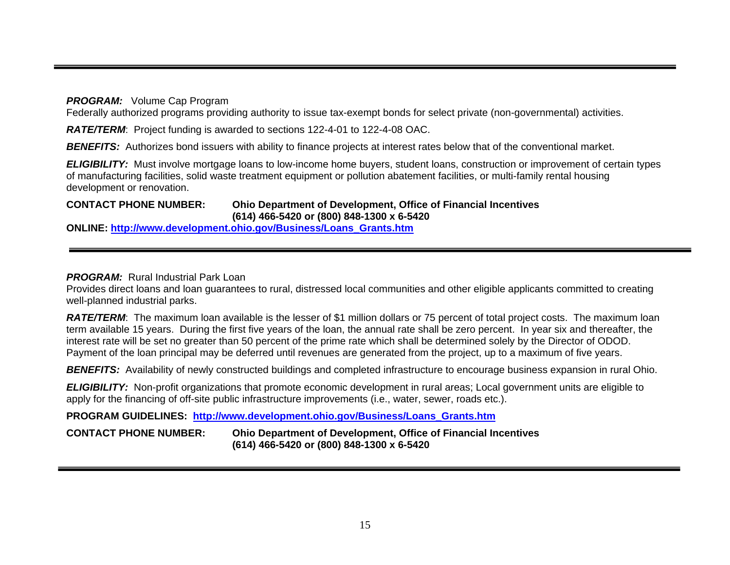*PROGRAM:* Volume Cap Program

Federally authorized programs providing authority to issue tax-exempt bonds for select private (non-governmental) activities.

*RATE/TERM*: Project funding is awarded to sections 122-4-01 to 122-4-08 OAC.

**BENEFITS:** Authorizes bond issuers with ability to finance projects at interest rates below that of the conventional market.

*ELIGIBILITY:* Must involve mortgage loans to low-income home buyers, student loans, construction or improvement of certain types of manufacturing facilities, solid waste treatment equipment or pollution abatement facilities, or multi-family rental housing development or renovation.

#### **CONTACT PHONE NUMBER: Ohio Department of Development, Office of Financial Incentives (614) 466-5420 or (800) 848-1300 x 6-5420**

**ONLINE: [http://www.development.ohio.gov/Business/Loans\\_Grants.htm](http://www.development.ohio.gov/Business/Loans_Grants.htm)**

# *PROGRAM:* Rural Industrial Park Loan

Provides direct loans and loan guarantees to rural, distressed local communities and other eligible applicants committed to creating well-planned industrial parks.

**RATE/TERM:** The maximum loan available is the lesser of \$1 million dollars or 75 percent of total project costs. The maximum loan term available 15 years. During the first five years of the loan, the annual rate shall be zero percent. In year six and thereafter, the interest rate will be set no greater than 50 percent of the prime rate which shall be determined solely by the Director of ODOD. Payment of the loan principal may be deferred until revenues are generated from the project, up to a maximum of five years.

**BENEFITS:** Availability of newly constructed buildings and completed infrastructure to encourage business expansion in rural Ohio.

*ELIGIBILITY:* Non-profit organizations that promote economic development in rural areas; Local government units are eligible to apply for the financing of off-site public infrastructure improvements (i.e., water, sewer, roads etc.).

**PROGRAM GUIDELINES: [http://www.development.ohio.gov/Business/Loans\\_Grants.htm](http://www.development.ohio.gov/Business/Loans_Grants.htm)**

**CONTACT PHONE NUMBER: Ohio Department of Development, Office of Financial Incentives (614) 466-5420 or (800) 848-1300 x 6-5420**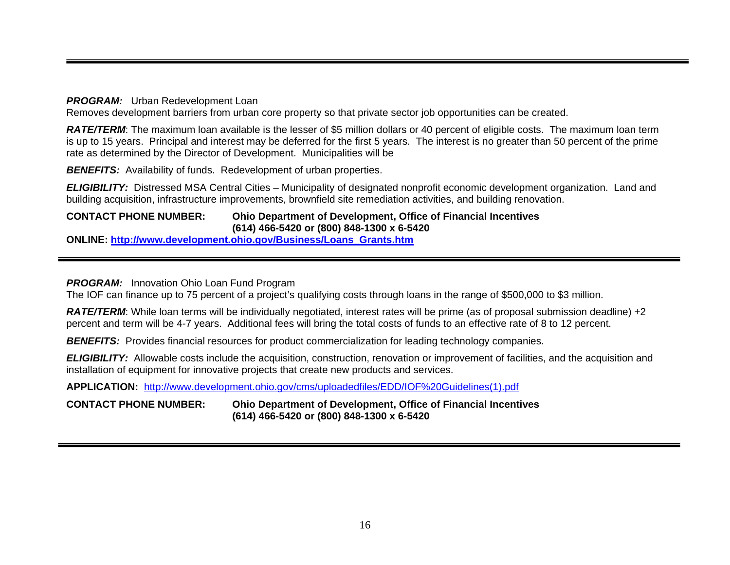#### *PROGRAM:* Urban Redevelopment Loan

Removes development barriers from urban core property so that private sector job opportunities can be created.

*RATE/TERM*: The maximum loan available is the lesser of \$5 million dollars or 40 percent of eligible costs. The maximum loan term is up to 15 years. Principal and interest may be deferred for the first 5 years. The interest is no greater than 50 percent of the prime rate as determined by the Director of Development. Municipalities will be

**BENEFITS:** Availability of funds. Redevelopment of urban properties.

*ELIGIBILITY:* Distressed MSA Central Cities – Municipality of designated nonprofit economic development organization. Land and building acquisition, infrastructure improvements, brownfield site remediation activities, and building renovation.

#### **CONTACT PHONE NUMBER: Ohio Department of Development, Office of Financial Incentives (614) 466-5420 or (800) 848-1300 x 6-5420**

**ONLINE: [http://www.development.ohio.gov/Business/Loans\\_Grants.htm](http://www.development.ohio.gov/Business/Loans_Grants.htm)**

## **PROGRAM:** Innovation Ohio Loan Fund Program

The IOF can finance up to 75 percent of a project's qualifying costs through loans in the range of \$500,000 to \$3 million.

**RATE/TERM:** While loan terms will be individually negotiated, interest rates will be prime (as of proposal submission deadline) +2 percent and term will be 4-7 years. Additional fees will bring the total costs of funds to an effective rate of 8 to 12 percent.

**BENEFITS:** Provides financial resources for product commercialization for leading technology companies.

*ELIGIBILITY:* Allowable costs include the acquisition, construction, renovation or improvement of facilities, and the acquisition and installation of equipment for innovative projects that create new products and services.

**APPLICATION:** [http://www.development.ohio.gov/cms/uploadedfiles/EDD/IOF%20Guidelines\(1\).pdf](http://www.development.ohio.gov/cms/uploadedfiles/EDD/IOF%20Guidelines(1).pdf)

## **CONTACT PHONE NUMBER: Ohio Department of Development, Office of Financial Incentives (614) 466-5420 or (800) 848-1300 x 6-5420**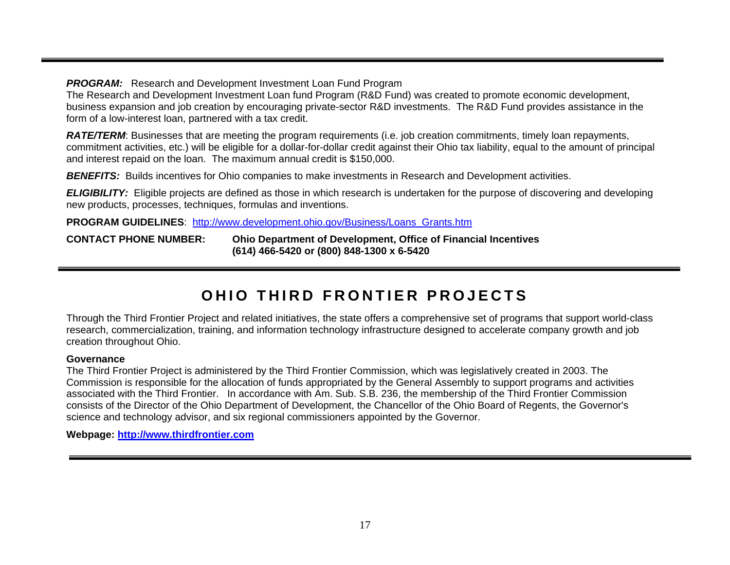**PROGRAM:** Research and Development Investment Loan Fund Program

The Research and Development Investment Loan fund Program (R&D Fund) was created to promote economic development, business expansion and job creation by encouraging private-sector R&D investments. The R&D Fund provides assistance in the form of a low-interest loan, partnered with a tax credit.

*RATE/TERM*: Businesses that are meeting the program requirements (i.e. job creation commitments, timely loan repayments, commitment activities, etc.) will be eligible for a dollar-for-dollar credit against their Ohio tax liability, equal to the amount of principal and interest repaid on the loan. The maximum annual credit is \$150,000.

**BENEFITS:** Builds incentives for Ohio companies to make investments in Research and Development activities.

*ELIGIBILITY:* Eligible projects are defined as those in which research is undertaken for the purpose of discovering and developing new products, processes, techniques, formulas and inventions.

**PROGRAM GUIDELINES**: [http://www.development.ohio.gov/Business/Loans\\_Grants.htm](http://www.development.ohio.gov/Business/Loans_Grants.htm)

**CONTACT PHONE NUMBER: Ohio Department of Development, Office of Financial Incentives (614) 466-5420 or (800) 848-1300 x 6-5420** 

# **OHIO THIRD FRONTIER PROJECTS**

Through the Third Frontier Project and related initiatives, the state offers a comprehensive [set of programs](http://www.ohiochannel.org/your_state/third_frontier_project/programs.cfm) that support world-class research, commercialization, training, and information technology infrastructure designed to accelerate company growth and job creation throughout Ohio.

#### **Governance**

The Third Frontier Project is administered by the Third Frontier Commission, which was legislatively created in 2003. The Commission is responsible for the allocation of funds appropriated by the General Assembly to support programs and activities associated with the Third Frontier. In accordance with Am. Sub. S.B. 236, the membership of the Third Frontier Commission consists of the Director of the Ohio Department of Development, the Chancellor of the Ohio Board of Regents, the Governor's science and technology advisor, and six regional commissioners appointed by the Governor.

**Webpage: [http://www.thirdfrontier.com](http://www.thirdfrontier.com/)**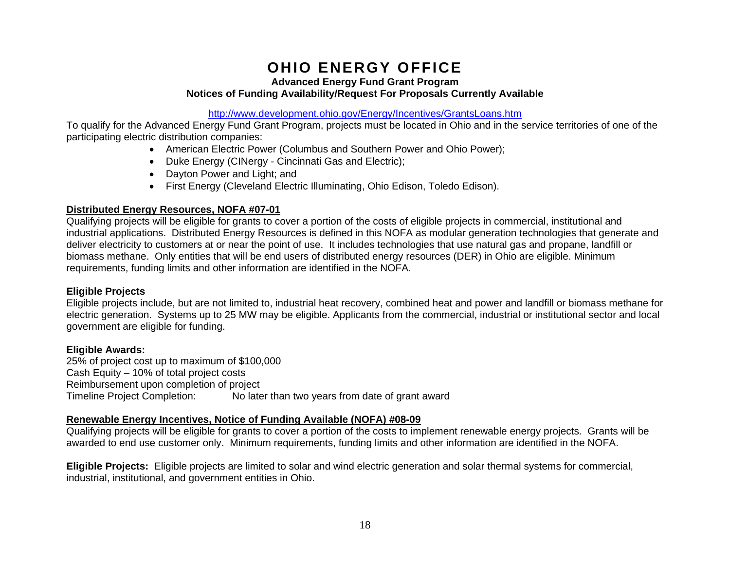# **OHIO ENERGY OFFICE**

**Advanced Energy Fund Grant Program** 

#### **Notices of Funding Availability/Request For Proposals Currently Available**

#### <http://www.development.ohio.gov/Energy/Incentives/GrantsLoans.htm>

To qualify for the Advanced Energy Fund Grant Program, projects must be located in Ohio and in the service territories of one of the participating electric distribution companies:

- American Electric Power (Columbus and Southern Power and Ohio Power);
- Duke Energy (CINergy Cincinnati Gas and Electric);
- Dayton Power and Light; and
- First Energy (Cleveland Electric Illuminating, Ohio Edison, Toledo Edison).

# **Distributed Energy Resources, NOFA #07-01**

Qualifying projects will be eligible for grants to cover a portion of the costs of eligible projects in commercial, institutional and industrial applications. Distributed Energy Resources is defined in this NOFA as modular generation technologies that generate and deliver electricity to customers at or near the point of use. It includes technologies that use natural gas and propane, landfill or biomass methane. Only entities that will be end users of distributed energy resources (DER) in Ohio are eligible. Minimum requirements, funding limits and other information are identified in the NOFA.

# **Eligible Projects**

Eligible projects include, but are not limited to, industrial heat recovery, combined heat and power and landfill or biomass methane for electric generation. Systems up to 25 MW may be eligible. Applicants from the commercial, industrial or institutional sector and local government are eligible for funding.

# **Eligible Awards:**

25% of project cost up to maximum of \$100,000 Cash Equity – 10% of total project costs Reimbursement upon completion of project Timeline Project Completion: No later than two years from date of grant award

# **Renewable Energy Incentives, Notice of Funding Available (NOFA) #08-09**

Qualifying projects will be eligible for grants to cover a portion of the costs to implement renewable energy projects. Grants will be awarded to end use customer only. Minimum requirements, funding limits and other information are identified in the NOFA.

**Eligible Projects:** Eligible projects are limited to solar and wind electric generation and solar thermal systems for commercial, industrial, institutional, and government entities in Ohio.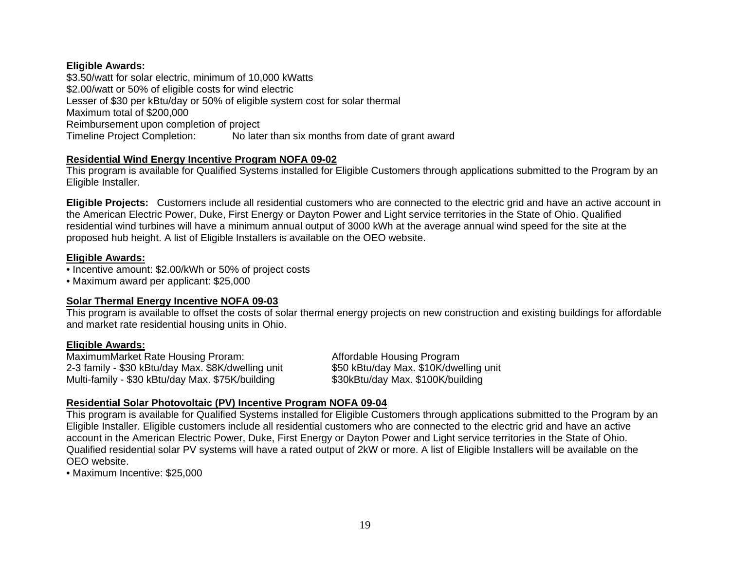# **Eligible Awards:**

\$3.50/watt for solar electric, minimum of 10,000 kWatts \$2.00/watt or 50% of eligible costs for wind electric Lesser of \$30 per kBtu/day or 50% of eligible system cost for solar thermal Maximum total of \$200,000 Reimbursement upon completion of project Timeline Project Completion: No later than six months from date of grant award

# **Residential Wind Energy Incentive Program NOFA 09-02**

This program is available for Qualified Systems installed for Eligible Customers through applications submitted to the Program by an Eligible Installer.

**Eligible Projects:** Customers include all residential customers who are connected to the electric grid and have an active account in the American Electric Power, Duke, First Energy or Dayton Power and Light service territories in the State of Ohio. Qualified residential wind turbines will have a minimum annual output of 3000 kWh at the average annual wind speed for the site at the proposed hub height. A list of Eligible Installers is available on the OEO website.

# **Eligible Awards:**

- Incentive amount: \$2.00/kWh or 50% of project costs
- Maximum award per applicant: \$25,000

## **Solar Thermal Energy Incentive NOFA 09-03**

This program is available to offset the costs of solar thermal energy projects on new construction and existing buildings for affordable and market rate residential housing units in Ohio.

## **Eligible Awards:**

MaximumMarket Rate Housing Proram: Affordable Housing Program 2-3 family - \$30 kBtu/day Max. \$8K/dwelling unit \$50 kBtu/day Max. \$10K/dwelling unit Multi-family - \$30 kBtu/day Max. \$75K/building \$30 kBtu/day Max. \$75K/building Multi-family - \$30 kBtu/day Max. \$75K/building

# **Residential Solar Photovoltaic (PV) Incentive Program NOFA 09-04**

This program is available for Qualified Systems installed for Eligible Customers through applications submitted to the Program by an Eligible Installer. Eligible customers include all residential customers who are connected to the electric grid and have an active account in the American Electric Power, Duke, First Energy or Dayton Power and Light service territories in the State of Ohio. Qualified residential solar PV systems will have a rated output of 2kW or more. A list of Eligible Installers will be available on the OEO website.

• Maximum Incentive: \$25,000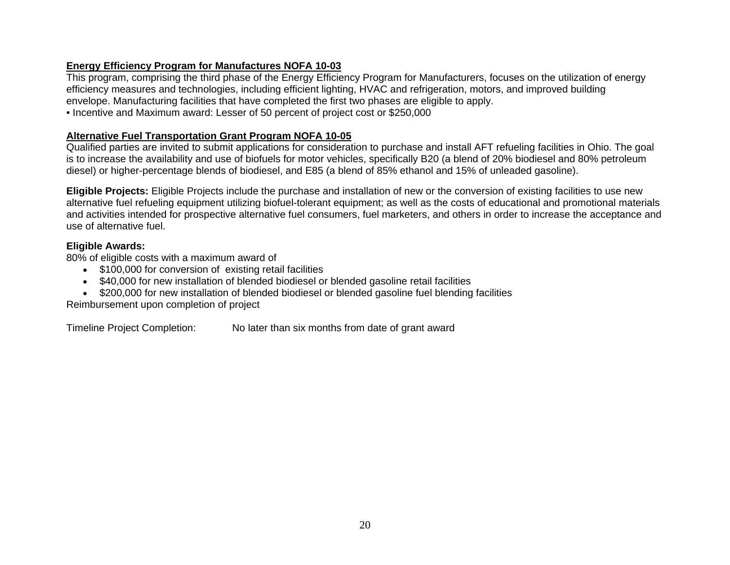# **Energy Efficiency Program for Manufactures NOFA 10-03**

This program, comprising the third phase of the Energy Efficiency Program for Manufacturers, focuses on the utilization of energy efficiency measures and technologies, including efficient lighting, HVAC and refrigeration, motors, and improved building envelope. Manufacturing facilities that have completed the first two phases are eligible to apply.

• Incentive and Maximum award: Lesser of 50 percent of project cost or \$250,000

# **Alternative Fuel Transportation Grant Program NOFA 10-05**

Qualified parties are invited to submit applications for consideration to purchase and install AFT refueling facilities in Ohio. The goal is to increase the availability and use of biofuels for motor vehicles, specifically B20 (a blend of 20% biodiesel and 80% petroleum diesel) or higher-percentage blends of biodiesel, and E85 (a blend of 85% ethanol and 15% of unleaded gasoline).

**Eligible Projects:** Eligible Projects include the purchase and installation of new or the conversion of existing facilities to use new alternative fuel refueling equipment utilizing biofuel-tolerant equipment; as well as the costs of educational and promotional materials and activities intended for prospective alternative fuel consumers, fuel marketers, and others in order to increase the acceptance and use of alternative fuel.

# **Eligible Awards:**

80% of eligible costs with a maximum award of

- \$100,000 for conversion of existing retail facilities
- \$40,000 for new installation of blended biodiesel or blended gasoline retail facilities
- \$200,000 for new installation of blended biodiesel or blended gasoline fuel blending facilities

Reimbursement upon completion of project

Timeline Project Completion: No later than six months from date of grant award